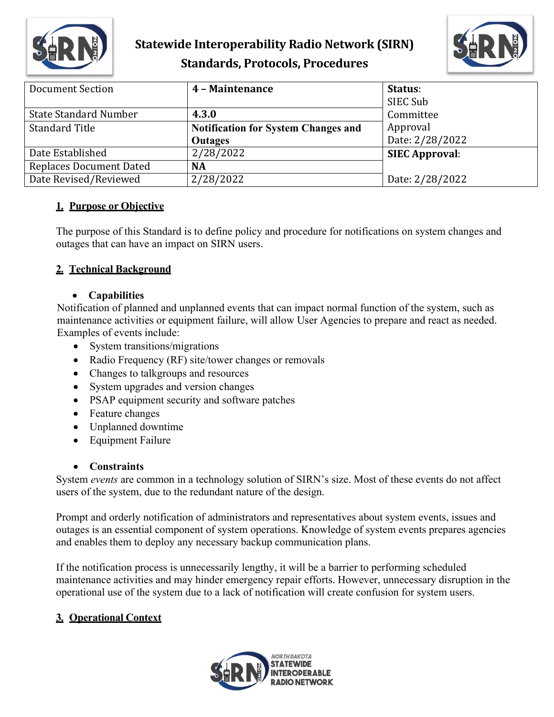

# **Statewide Interoperability Radio Network (SIRN) Standards, Protocols, Procedures**



| <b>Document Section</b>        | 4 - Maintenance                            | Status:               |
|--------------------------------|--------------------------------------------|-----------------------|
|                                |                                            | SIEC Sub              |
| <b>State Standard Number</b>   | 4.3.0                                      | Committee             |
| <b>Standard Title</b>          | <b>Notification for System Changes and</b> | Approval              |
|                                | <b>Outages</b>                             | Date: 2/28/2022       |
| Date Established               | 2/28/2022                                  | <b>SIEC Approval:</b> |
| <b>Replaces Document Dated</b> | NA                                         |                       |
| Date Revised/Reviewed          | 2/28/2022                                  | Date: 2/28/2022       |

### **1. Purpose or Objective**

The purpose of this Standard is to define policy and procedure for notifications on system changes and outages that can have an impact on SIRN users.

### **2. Technical Background**

### • **Capabilities**

Notification of planned and unplanned events that can impact normal function of the system, such as maintenance activities or equipment failure, will allow User Agencies to prepare and react as needed. Examples of events include:

- System transitions/migrations
- Radio Frequency (RF) site/tower changes or removals
- Changes to talkgroups and resources
- System upgrades and version changes
- PSAP equipment security and software patches
- Feature changes
- Unplanned downtime
- Equipment Failure

### • **Constraints**

System *events* are common in a technology solution of SIRN's size. Most of these events do not affect users of the system, due to the redundant nature of the design.

Prompt and orderly notification of administrators and representatives about system events, issues and outages is an essential component of system operations. Knowledge of system events prepares agencies and enables them to deploy any necessary backup communication plans.

If the notification process is unnecessarily lengthy, it will be a barrier to performing scheduled maintenance activities and may hinder emergency repair efforts. However, unnecessary disruption in the operational use of the system due to a lack of notification will create confusion for system users.

### **3. Operational Context**

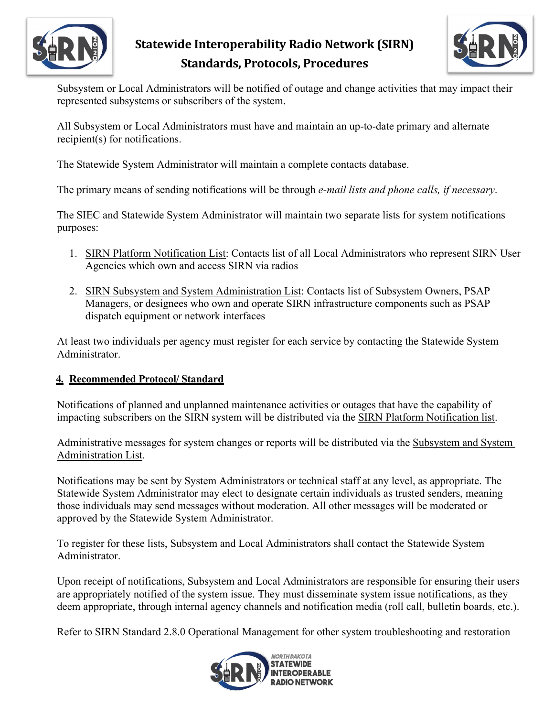

# **Statewide Interoperability Radio Network (SIRN) Standards, Protocols, Procedures**



Subsystem or Local Administrators will be notified of outage and change activities that may impact their represented subsystems or subscribers of the system.

All Subsystem or Local Administrators must have and maintain an up-to-date primary and alternate recipient(s) for notifications.

The Statewide System Administrator will maintain a complete contacts database.

The primary means of sending notifications will be through *e-mail lists and phone calls, if necessary*.

The SIEC and Statewide System Administrator will maintain two separate lists for system notifications purposes:

- 1. SIRN Platform Notification List: Contacts list of all Local Administrators who represent SIRN User Agencies which own and access SIRN via radios
- 2. SIRN Subsystem and System Administration List: Contacts list of Subsystem Owners, PSAP Managers, or designees who own and operate SIRN infrastructure components such as PSAP dispatch equipment or network interfaces

At least two individuals per agency must register for each service by contacting the Statewide System Administrator.

### **4. Recommended Protocol/ Standard**

Notifications of planned and unplanned maintenance activities or outages that have the capability of impacting subscribers on the SIRN system will be distributed via the SIRN Platform Notification list.

Administrative messages for system changes or reports will be distributed via the Subsystem and System Administration List.

Notifications may be sent by System Administrators or technical staff at any level, as appropriate. The Statewide System Administrator may elect to designate certain individuals as trusted senders, meaning those individuals may send messages without moderation. All other messages will be moderated or approved by the Statewide System Administrator.

To register for these lists, Subsystem and Local Administrators shall contact the Statewide System Administrator.

Upon receipt of notifications, Subsystem and Local Administrators are responsible for ensuring their users are appropriately notified of the system issue. They must disseminate system issue notifications, as they deem appropriate, through internal agency channels and notification media (roll call, bulletin boards, etc.).

Refer to SIRN Standard 2.8.0 Operational Management for other system troubleshooting and restoration